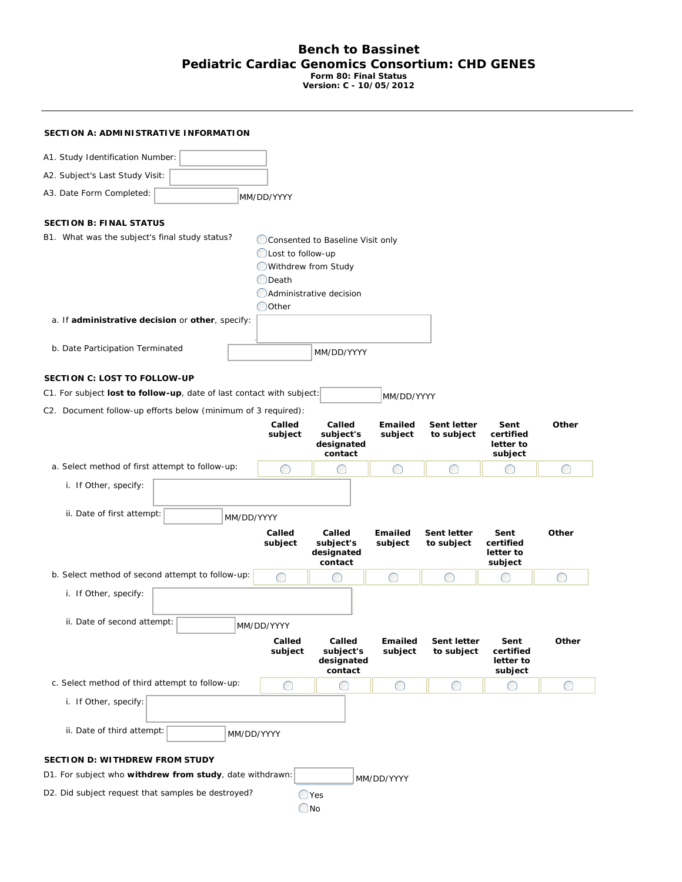## **Bench to Bassinet Pediatric Cardiac Genomics Consortium: CHD GENES Form 80: Final Status**

**Version: C - 10/05/2012**

| SECTION A: ADMINISTRATIVE INFORMATION                                                                        |                                                                                  |                                                             |                           |                           |                                             |                                                             |  |
|--------------------------------------------------------------------------------------------------------------|----------------------------------------------------------------------------------|-------------------------------------------------------------|---------------------------|---------------------------|---------------------------------------------|-------------------------------------------------------------|--|
| A1. Study Identification Number:                                                                             |                                                                                  |                                                             |                           |                           |                                             |                                                             |  |
| A2. Subject's Last Study Visit:                                                                              |                                                                                  |                                                             |                           |                           |                                             |                                                             |  |
| A3. Date Form Completed:                                                                                     | MM/DD/YYYY                                                                       |                                                             |                           |                           |                                             |                                                             |  |
| <b>SECTION B: FINAL STATUS</b>                                                                               |                                                                                  |                                                             |                           |                           |                                             |                                                             |  |
| B1. What was the subject's final study status?                                                               | Lost to follow-up<br>O Withdrew from Study<br><b>O</b> Death<br>$\bigcirc$ Other | Consented to Baseline Visit only<br>Administrative decision |                           |                           |                                             |                                                             |  |
| a. If administrative decision or other, specify:                                                             |                                                                                  |                                                             |                           |                           |                                             |                                                             |  |
| b. Date Participation Terminated                                                                             |                                                                                  | MM/DD/YYYY                                                  |                           |                           |                                             |                                                             |  |
| <b>SECTION C: LOST TO FOLLOW-UP</b><br>C1. For subject lost to follow-up, date of last contact with subject: |                                                                                  |                                                             | MM/DD/YYYY                |                           |                                             |                                                             |  |
| C2. Document follow-up efforts below (minimum of 3 required):                                                | Called<br>subject                                                                | Called<br>subject's<br>designated<br>contact                | <b>Emailed</b><br>subject | Sent letter<br>to subject | Sent<br>certified<br>letter to<br>subject   | Other                                                       |  |
| a. Select method of first attempt to follow-up:                                                              | O                                                                                | O                                                           | ◯                         | ∩                         |                                             | ◯                                                           |  |
| i. If Other, specify:                                                                                        |                                                                                  |                                                             |                           |                           |                                             |                                                             |  |
| ii. Date of first attempt:                                                                                   |                                                                                  |                                                             |                           |                           |                                             |                                                             |  |
| <i>MM/DD/YYYY</i>                                                                                            | Called<br>subject                                                                | Called<br>subject's<br>designated<br>contact                | Emailed<br>subject        | Sent letter<br>to subject | Sent<br>certified<br>letter to<br>subject   | Other                                                       |  |
| b. Select method of second attempt to follow-up:                                                             | O                                                                                | O                                                           | ∩                         | ∩                         |                                             | $\begin{array}{c} \begin{array}{c} \end{array} \end{array}$ |  |
| i. If Other, specify:<br>ii. Date of second attempt:                                                         |                                                                                  |                                                             |                           |                           |                                             |                                                             |  |
|                                                                                                              | MM/DD/YYYY<br>Called<br>subject                                                  | Called<br>subject's<br>designated<br>contact                | Emailed<br>subject        | Sent letter<br>to subject | Sent<br>certified<br>letter to<br>subject   | Other                                                       |  |
| c. Select method of third attempt to follow-up:                                                              | O                                                                                | O                                                           | ◯                         | $\bigcirc$                | $\left(\begin{array}{c} \end{array}\right)$ | ◯                                                           |  |
| i. If Other, specify:                                                                                        |                                                                                  |                                                             |                           |                           |                                             |                                                             |  |
| ii. Date of third attempt:                                                                                   | MM/DD/YYYY                                                                       |                                                             |                           |                           |                                             |                                                             |  |
| <b>SECTION D: WITHDREW FROM STUDY</b>                                                                        |                                                                                  |                                                             |                           |                           |                                             |                                                             |  |
| D1. For subject who withdrew from study, date withdrawn:<br>MM/DD/YYYY                                       |                                                                                  |                                                             |                           |                           |                                             |                                                             |  |
| D2. Did subject request that samples be destroyed?<br>$\bigcirc$ Yes<br>$\bigcirc$ No                        |                                                                                  |                                                             |                           |                           |                                             |                                                             |  |